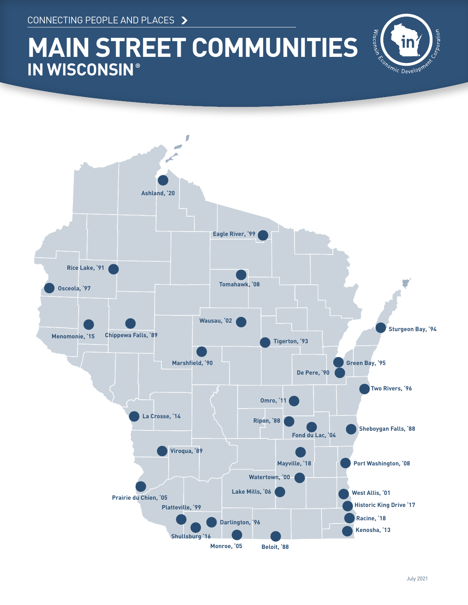CONNECTING PEOPLE AND PLACES

# **MAIN STREET COMMUNITIES IN WISCONSIN ®**



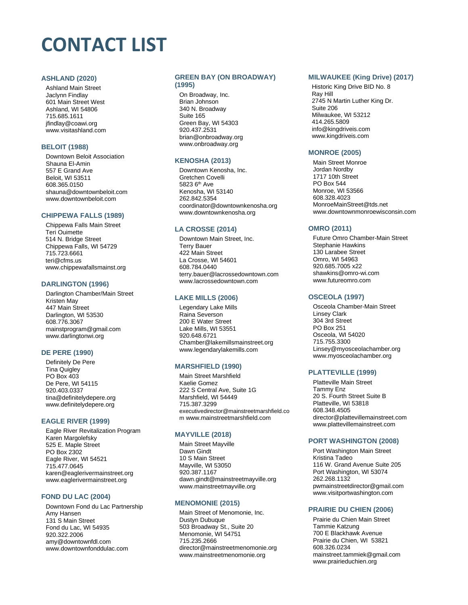# **CONTACT LIST**

#### **ASHLAND (2020)**

Ashland Main Street Jaclynn Findlay 601 Main Street West Ashland, WI 54806 715.685.1611 jfindlay@coawi.org www.visitashland.com

#### **BELOIT (1988)**

Downtown Beloit Association Shauna El-Amin 557 E Grand Ave Beloit, WI 53511 608.365.0150 shauna@downtownbeloit.com www.downtownbeloit.com

## **CHIPPEWA FALLS (1989)**

Chippewa Falls Main Street Teri Ouimette 514 N. Bridge Street Chippewa Falls, WI 54729 715.723.6661 teri@cfms.us www.chippewafallsmainst.org

#### **DARLINGTON (1996)**

Darlington Chamber/Main Street Kristen May 447 Main Street Darlington, WI 53530 608.776.3067 mainstprogram@gmail.com www.darlingtonwi.org

## **DE PERE (1990)**

Definitely De Pere Tina Quigley PO Box 403 De Pere, WI 54115 920.403.0337 tina@definitelydepere.org www.definitelydepere.org

## **EAGLE RIVER (1999)**

Eagle River Revitalization Program Karen Margolefsky 525 E. Maple Street PO Box 2302 Eagle River, WI 54521 715.477.0645 karen@eaglerivermainstreet.org www.eaglerivermainstreet.org

## **FOND DU LAC (2004)**

Downtown Fond du Lac Partnership Amy Hansen 131 S Main Street Fond du Lac, WI 54935 920.322.2006 amy@downtownfdl.com www.downtownfonddulac.com

#### **GREEN BAY (ON BROADWAY)**

## **(1995)**

On Broadway, Inc. Brian Johnson 340 N. Broadway Suite 165 Green Bay, WI 54303 920.437.2531 brian@onbroadway.org www.onbroadway.org

## **KENOSHA (2013)**

Downtown Kenosha, Inc. Gretchen Covelli 5823 6th Ave Kenosha, WI 53140 262.842.5354 coordinator@downtownkenosha.org www.downtownkenosha.org

## **LA CROSSE (2014)**

Downtown Main Street, Inc. Terry Bauer 422 Main Street La Crosse, WI 54601 608.784.0440 terry.bauer@lacrossedowntown.com www.lacrossedowntown.com

#### **LAKE MILLS (2006)**

Legendary Lake Mills Raina Severson 200 E Water Street Lake Mills, WI 53551 920.648.6721 Chamber@lakemillsmainstreet.org www.legendarylakemills.com

## **MARSHFIELD (1990)**

Main Street Marshfield Kaelie Gomez 222 S Central Ave, Suite 1G Marshfield, WI 54449 715.387.3299 executivedirector@mainstreetmarshfield.co m www.mainstreetmarshfield.com

## **MAYVILLE (2018)**

Main Street Mayville Dawn Gindt 10 S Main Street Mayville, WI 53050 920.387.1167 dawn.gindt@mainstreetmayville.org www.mainstreetmayville.org

#### **MENOMONIE (2015)**

Main Street of Menomonie, Inc. Dustyn Dubuque 503 Broadway St., Suite 20 Menomonie, WI 54751 715.235.2666 [director@mainstreetmenomonie.org](mailto:director@mainstreetmenomonie.org) www.mainstreetmenomonie.org

#### **MILWAUKEE (King Drive) (2017)**

Historic King Drive BID No. 8 Ray Hill 2745 N Martin Luther King Dr. Suite 206 Milwaukee, WI 53212 414.265.5809 info@kingdriveis.com www.kingdriveis.com

## **MONROE (2005)**

Main Street Monroe Jordan Nordby 1717 10th Street PO Box 544 Monroe, WI 53566 608.328.4023 MonroeMainStreet@tds.net www.downtownmonroewisconsin.com

## **OMRO (2011)**

Future Omro Chamber-Main Street Stephanie Hawkins 130 Larabee Street Omro, WI 54963 920.685.7005 x22 shawkins@omro-wi.com www.futureomro.com

## **OSCEOLA (1997)**

Osceola Chamber-Main Street Linsey Clark 304 3rd Street PO Box 251 Osceola, WI 54020 715.755.3300 Linsey@myosceolachamber.org www.myosceolachamber.org

## **PLATTEVILLE (1999)**

Platteville Main Street Tammy Enz 20 S. Fourth Street Suite B Platteville, WI 53818 608.348.4505 director@plattevillemainstreet.com www.plattevillemainstreet.com

#### **PORT WASHINGTON (2008)**

Port Washington Main Street Kristina Tadeo 116 W. Grand Avenue Suite 205 Port Washington, WI 53074 262.268.1132 pwmainstreetdirector@gmail.com www.visitportwashington.com

## **PRAIRIE DU CHIEN (2006)**

Prairie du Chien Main Street Tammie Katzung 700 E Blackhawk Avenue Prairie du Chien, WI 53821 608.326.0234 mainstreet.tammiek@gmail.com www.prairieduchien.org